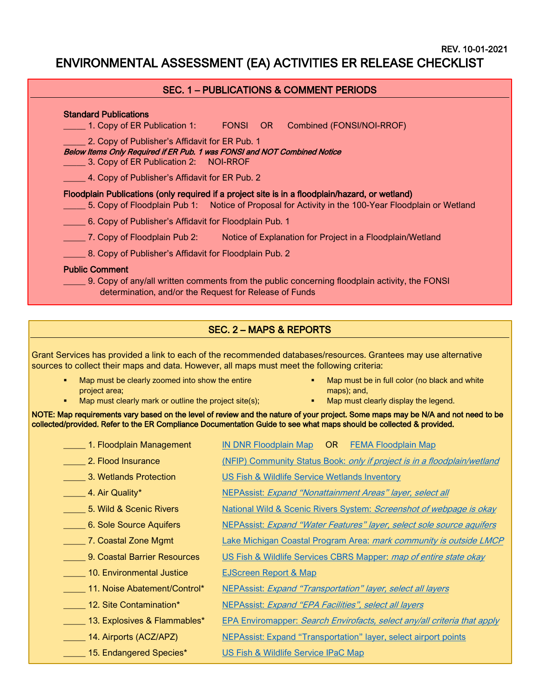REV. 10-01-2021

# ENVIRONMENTAL ASSESSMENT (EA) ACTIVITIES ER RELEASE CHECKLIST

### SEC. 1 – PUBLICATIONS & COMMENT PERIODS

| 1. Copy of ER Publication 1:                                                                                                                                        | <b>EXERGINAL EDITION CONTROL</b> | Combined (FONSI/NOI-RROF)                                                                          |
|---------------------------------------------------------------------------------------------------------------------------------------------------------------------|----------------------------------|----------------------------------------------------------------------------------------------------|
| 2. Copy of Publisher's Affidavit for ER Pub. 1<br>Below Items Only Required if ER Pub. 1 was FONSI and NOT Combined Notice<br>3. Copy of ER Publication 2: NOI-RROF |                                  |                                                                                                    |
| 4. Copy of Publisher's Affidavit for ER Pub. 2                                                                                                                      |                                  |                                                                                                    |
| Floodplain Publications (only required if a project site is in a floodplain/hazard, or wetland)                                                                     |                                  | 5. Copy of Floodplain Pub 1: Notice of Proposal for Activity in the 100-Year Floodplain or Wetland |
| 6. Copy of Publisher's Affidavit for Floodplain Pub. 1                                                                                                              |                                  |                                                                                                    |
|                                                                                                                                                                     |                                  | 7. Copy of Floodplain Pub 2: Notice of Explanation for Project in a Floodplain/Wetland             |
| 8. Copy of Publisher's Affidavit for Floodplain Pub. 2                                                                                                              |                                  |                                                                                                    |
| <b>Public Comment</b><br>determination, and/or the Request for Release of Funds                                                                                     |                                  | 9. Copy of any/all written comments from the public concerning floodplain activity, the FONSI      |

## SEC. 2 – MAPS & REPORTS

Grant Services has provided a link to each of the recommended databases/resources. Grantees may use alternative sources to collect their maps and data. However, all maps must meet the following criteria:

- Map must be clearly zoomed into show the entire project area;
- **Map must be in full color (no black and white** maps); and,
- Map must clearly mark or outline the project site(s);
- Map must clearly display the legend.

NOTE: Map requirements vary based on the level of review and the nature of your project. Some maps may be N/A and not need to be collected/provided. Refer to the ER Compliance Documentation Guide to see what maps should be collected & provided.

| 1. Floodplain Management     | <b>IN DNR Floodplain Map</b><br>OR.<br><b>FEMA Floodplain Map</b>               |  |  |
|------------------------------|---------------------------------------------------------------------------------|--|--|
| 2. Flood Insurance           | (NFIP) Community Status Book: only if project is in a floodplain/wetland        |  |  |
| 3. Wetlands Protection       | US Fish & Wildlife Service Wetlands Inventory                                   |  |  |
| 4. Air Quality*              | NEPAssist: Expand "Nonattainment Areas" layer, select all                       |  |  |
| 5. Wild & Scenic Rivers      | National Wild & Scenic Rivers System: Screenshot of webpage is okay             |  |  |
| 6. Sole Source Aquifers      | NEPAssist: <i>Expand "Water Features" layer, select sole source aquifers</i>    |  |  |
| 7. Coastal Zone Mgmt         | Lake Michigan Coastal Program Area: mark community is outside LMCP              |  |  |
| 9. Coastal Barrier Resources | US Fish & Wildlife Services CBRS Mapper: map of entire state okay               |  |  |
| 10. Environmental Justice    | <b>EJScreen Report &amp; Map</b>                                                |  |  |
| 11. Noise Abatement/Control* | <b>NEPAssist: Expand "Transportation" layer, select all layers</b>              |  |  |
| 12. Site Contamination*      | NEPAssist: Expand "EPA Facilities", select all layers                           |  |  |
| 13. Explosives & Flammables* | <b>EPA Enviromapper: Search Envirofacts, select any/all criteria that apply</b> |  |  |
| 14. Airports (ACZ/APZ)       | <b>NEPAssist: Expand "Transportation" layer, select airport points</b>          |  |  |
| 15. Endangered Species*      | US Fish & Wildlife Service IPaC Map                                             |  |  |